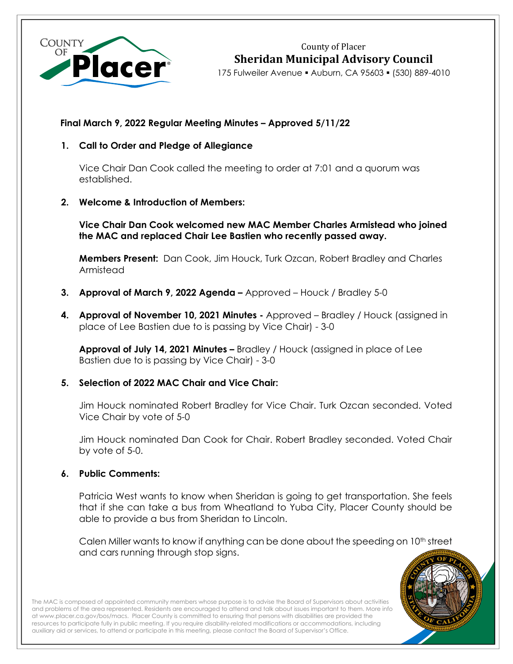

County of Placer **Sheridan Municipal Advisory Council**

175 Fulweiler Avenue ▪ Auburn, CA 95603 ▪ (530) 889-4010

# **Final March 9, 2022 Regular Meeting Minutes – Approved 5/11/22**

# **1. Call to Order and Pledge of Allegiance**

Vice Chair Dan Cook called the meeting to order at 7:01 and a quorum was established.

## **2. Welcome & Introduction of Members:**

**Vice Chair Dan Cook welcomed new MAC Member Charles Armistead who joined the MAC and replaced Chair Lee Bastien who recently passed away.**

**Members Present:** Dan Cook, Jim Houck, Turk Ozcan, Robert Bradley and Charles Armistead

- **3. Approval of March 9, 2022 Agenda –** Approved Houck / Bradley 5-0
- **4. Approval of November 10, 2021 Minutes -** Approved Bradley / Houck (assigned in place of Lee Bastien due to is passing by Vice Chair) - 3-0

**Approval of July 14, 2021 Minutes –** Bradley / Houck (assigned in place of Lee Bastien due to is passing by Vice Chair) - 3-0

# **5. Selection of 2022 MAC Chair and Vice Chair:**

Jim Houck nominated Robert Bradley for Vice Chair. Turk Ozcan seconded. Voted Vice Chair by vote of 5-0

Jim Houck nominated Dan Cook for Chair. Robert Bradley seconded. Voted Chair by vote of 5-0.

## **6. Public Comments:**

Patricia West wants to know when Sheridan is going to get transportation. She feels that if she can take a bus from Wheatland to Yuba City, Placer County should be able to provide a bus from Sheridan to Lincoln.

Calen Miller wants to know if anything can be done about the speeding on 10th street and cars running through stop signs.



The MAC is composed of appointed community members whose purpose is to advise the Board of Supervisors about activities and problems of the area represented. Residents are encouraged to attend and talk about issues important to them. More info a[t www.placer.ca.gov/bos/macs.](http://www.placer.ca.gov/bos/macs) Placer County is committed to ensuring that persons with disabilities are provided the resources to participate fully in public meeting. If you require disability-related modifications or accommodations, including auxiliary aid or services, to attend or participate in this meeting, please contact the Board of Supervisor's Office.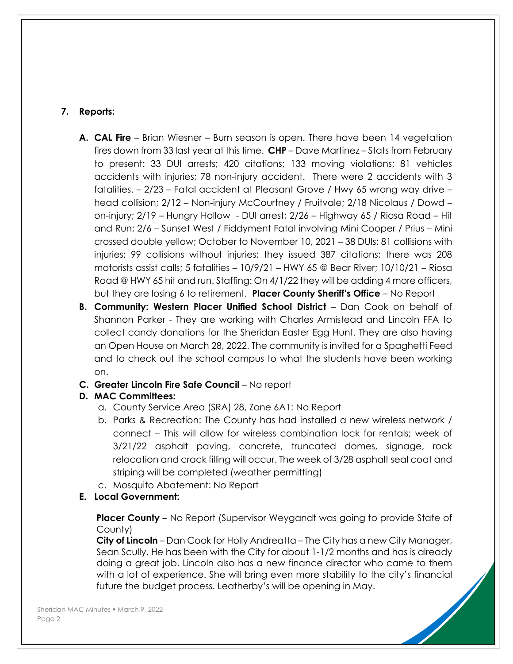# **7. Reports:**

- **A. CAL Fire** Brian Wiesner Burn season is open. There have been 14 vegetation fires down from 33 last year at this time. **CHP** – Dave Martinez – Stats from February to present: 33 DUI arrests; 420 citations; 133 moving violations; 81 vehicles accidents with injuries; 78 non-injury accident. There were 2 accidents with 3 fatalities. – 2/23 – Fatal accident at Pleasant Grove / Hwy 65 wrong way drive – head collision; 2/12 – Non-injury McCourtney / Fruitvale; 2/18 Nicolaus / Dowd – on-injury; 2/19 – Hungry Hollow - DUI arrest; 2/26 – Highway 65 / Riosa Road – Hit and Run; 2/6 – Sunset West / Fiddyment Fatal involving Mini Cooper / Prius – Mini crossed double yellow; October to November 10, 2021 – 38 DUIs; 81 collisions with injuries; 99 collisions without injuries; they issued 387 citations; there was 208 motorists assist calls; 5 fatalities – 10/9/21 – HWY 65 @ Bear River; 10/10/21 – Riosa Road @ HWY 65 hit and run. Staffing: On 4/1/22 they will be adding 4 more officers, but they are losing 6 to retirement. **Placer County Sheriff's Office** – No Report
- **B. Community: Western Placer Unified School District** Dan Cook on behalf of Shannon Parker - They are working with Charles Armistead and Lincoln FFA to collect candy donations for the Sheridan Easter Egg Hunt. They are also having an Open House on March 28, 2022. The community is invited for a Spaghetti Feed and to check out the school campus to what the students have been working on.

## **C. Greater Lincoln Fire Safe Council** – No report

# **D. MAC Committees:**

- a. County Service Area (SRA) 28, Zone 6A1: No Report
- b. Parks & Recreation: The County has had installed a new wireless network / connect – This will allow for wireless combination lock for rentals; week of 3/21/22 asphalt paving, concrete, truncated domes, signage, rock relocation and crack filling will occur. The week of 3/28 asphalt seal coat and striping will be completed (weather permitting)
- c. Mosquito Abatement: No Report
- **E. Local Government:**

**Placer County** – No Report (Supervisor Weygandt was going to provide State of County)

**City of Lincoln** – Dan Cook for Holly Andreatta – The City has a new City Manager, Sean Scully. He has been with the City for about 1-1/2 months and has is already doing a great job. Lincoln also has a new finance director who came to them with a lot of experience. She will bring even more stability to the city's financial future the budget process. Leatherby's will be opening in May.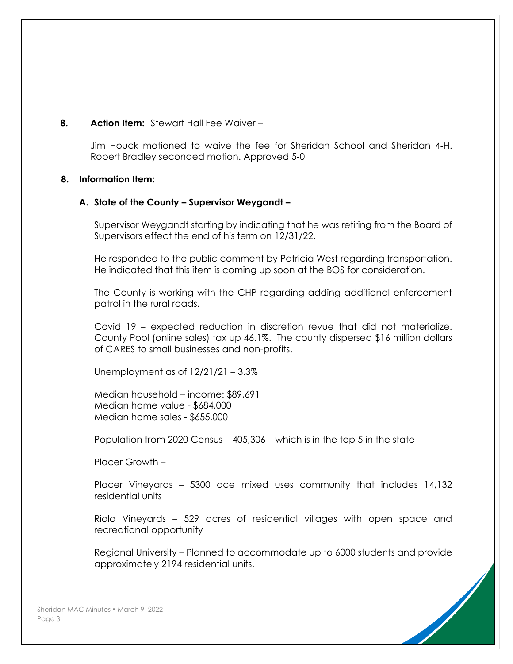# **8. Action Item:** Stewart Hall Fee Waiver –

Jim Houck motioned to waive the fee for Sheridan School and Sheridan 4-H. Robert Bradley seconded motion. Approved 5-0

## **8. Information Item:**

## **A. State of the County – Supervisor Weygandt –**

Supervisor Weygandt starting by indicating that he was retiring from the Board of Supervisors effect the end of his term on 12/31/22.

He responded to the public comment by Patricia West regarding transportation. He indicated that this item is coming up soon at the BOS for consideration.

The County is working with the CHP regarding adding additional enforcement patrol in the rural roads.

Covid 19 – expected reduction in discretion revue that did not materialize. County Pool (online sales) tax up 46.1%. The county dispersed \$16 million dollars of CARES to small businesses and non-profits.

Unemployment as of  $12/21/21 - 3.3\%$ 

Median household – income: \$89,691 Median home value - \$684,000 Median home sales - \$655,000

Population from 2020 Census – 405,306 – which is in the top 5 in the state

Placer Growth –

Placer Vineyards – 5300 ace mixed uses community that includes 14,132 residential units

Riolo Vineyards – 529 acres of residential villages with open space and recreational opportunity

Regional University – Planned to accommodate up to 6000 students and provide approximately 2194 residential units.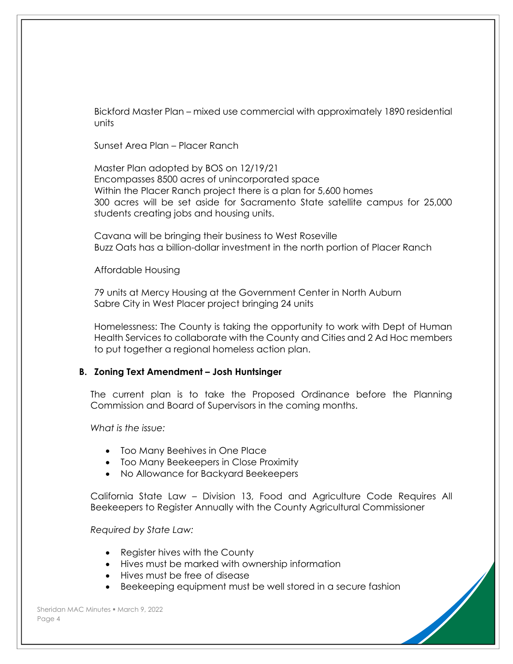Bickford Master Plan – mixed use commercial with approximately 1890 residential units

Sunset Area Plan – Placer Ranch

Master Plan adopted by BOS on 12/19/21 Encompasses 8500 acres of unincorporated space Within the Placer Ranch project there is a plan for 5,600 homes 300 acres will be set aside for Sacramento State satellite campus for 25,000 students creating jobs and housing units.

Cavana will be bringing their business to West Roseville Buzz Oats has a billion-dollar investment in the north portion of Placer Ranch

Affordable Housing

79 units at Mercy Housing at the Government Center in North Auburn Sabre City in West Placer project bringing 24 units

Homelessness: The County is taking the opportunity to work with Dept of Human Health Services to collaborate with the County and Cities and 2 Ad Hoc members to put together a regional homeless action plan.

## **B. Zoning Text Amendment – Josh Huntsinger**

The current plan is to take the Proposed Ordinance before the Planning Commission and Board of Supervisors in the coming months.

*What is the issue:*

- Too Many Beehives in One Place
- Too Many Beekeepers in Close Proximity
- No Allowance for Backyard Beekeepers

California State Law – Division 13, Food and Agriculture Code Requires All Beekeepers to Register Annually with the County Agricultural Commissioner

*Required by State Law:*

- Register hives with the County
- Hives must be marked with ownership information
- Hives must be free of disease
- Beekeeping equipment must be well stored in a secure fashion

Sheridan MAC Minutes · March 9, 2022 Page 4